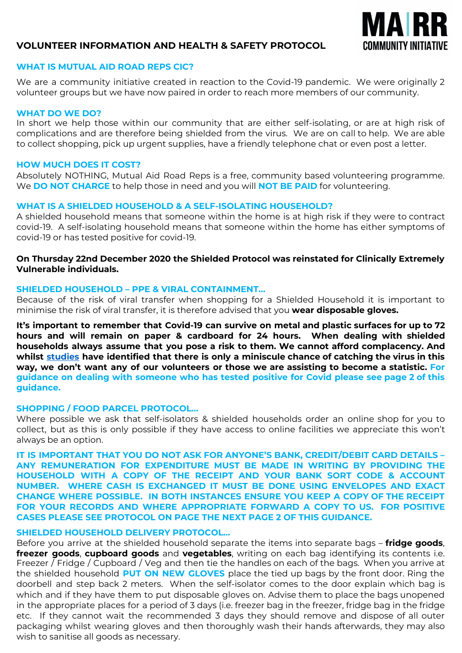

# **VOLUNTEER INFORMATION AND HEALTH & SAFETY PROTOCOL**

#### **WHAT IS MUTUAL AID ROAD REPS CIC?**

We are a community initiative created in reaction to the Covid-19 pandemic. We were originally 2 volunteer groups but we have now paired in order to reach more members of our community.

### **WHAT DO WE DO?**

In short we help those within our community that are either self-isolating, or are at high risk of complications and are therefore being shielded from the virus. We are on call to help. We are able to collect shopping, pick up urgent supplies, have a friendly telephone chat or even post a letter.

#### **HOW MUCH DOES IT COST?**

Absolutely NOTHING, Mutual Aid Road Reps is a free, community based volunteering programme. We **DO NOT CHARGE** to help those in need and you will **NOT BE PAID** for volunteering.

#### **WHAT IS A SHIELDED HOUSEHOLD & A SELF-ISOLATING HOUSEHOLD?**

A shielded household means that someone within the home is at high risk if they were to contract covid-19. A self-isolating household means that someone within the home has either symptoms of covid-19 or has tested positive for covid-19.

## **On Thursday 22nd December 2020 the Shielded Protocol was reinstated for Clinically Extremely Vulnerable individuals.**

### **SHIELDED HOUSEHOLD – PPE & VIRAL CONTAINMENT…**

Because of the risk of viral transfer when shopping for a Shielded Household it is important to minimise the risk of viral transfer, it is therefore advised that you **wear disposable gloves.**

**It's important to remember that Covid-19 can survive on metal and plastic surfaces for up to 72 hours and will remain on paper & cardboard for 24 hours. When dealing with shielded households always assume that you pose a risk to them. We cannot afford complacency. And whilst [studies](https://www.wired.com/story/its-time-to-talk-about-covid-19-and-surfaces-again/) have identified that there is only a miniscule chance of catching the virus in this way, we don't want any of our volunteers or those we are assisting to become a statistic. For guidance on dealing with someone who has tested positive for Covid please see page 2 of this guidance.**

#### **SHOPPING / FOOD PARCEL PROTOCOL…**

Where possible we ask that self-isolators & shielded households order an online shop for you to collect, but as this is only possible if they have access to online facilities we appreciate this won't always be an option.

**IT IS IMPORTANT THAT YOU DO NOT ASK FOR ANYONE'S BANK, CREDIT/DEBIT CARD DETAILS – ANY REMUNERATION FOR EXPENDITURE MUST BE MADE IN WRITING BY PROVIDING THE HOUSEHOLD WITH A COPY OF THE RECEIPT AND YOUR BANK SORT CODE & ACCOUNT NUMBER. WHERE CASH IS EXCHANGED IT MUST BE DONE USING ENVELOPES AND EXACT CHANGE WHERE POSSIBLE. IN BOTH INSTANCES ENSURE YOU KEEP A COPY OF THE RECEIPT FOR YOUR RECORDS AND WHERE APPROPRIATE FORWARD A COPY TO US. FOR POSITIVE CASES PLEASE SEE PROTOCOL ON PAGE THE NEXT PAGE 2 OF THIS GUIDANCE.**

## **SHIELDED HOUSEHOLD DELIVERY PROTOCOL…**

Before you arrive at the shielded household separate the items into separate bags – **fridge goods**, **freezer goods**, **cupboard goods** and **vegetables**, writing on each bag identifying its contents i.e. Freezer / Fridge / Cupboard / Veg and then tie the handles on each of the bags. When you arrive at the shielded household **PUT ON NEW GLOVES** place the tied up bags by the front door. Ring the doorbell and step back 2 meters. When the self-isolator comes to the door explain which bag is which and if they have them to put disposable gloves on. Advise them to place the bags unopened in the appropriate places for a period of 3 days (i.e. freezer bag in the freezer, fridge bag in the fridge etc. If they cannot wait the recommended 3 days they should remove and dispose of all outer packaging whilst wearing gloves and then thoroughly wash their hands afterwards, they may also wish to sanitise all goods as necessary.